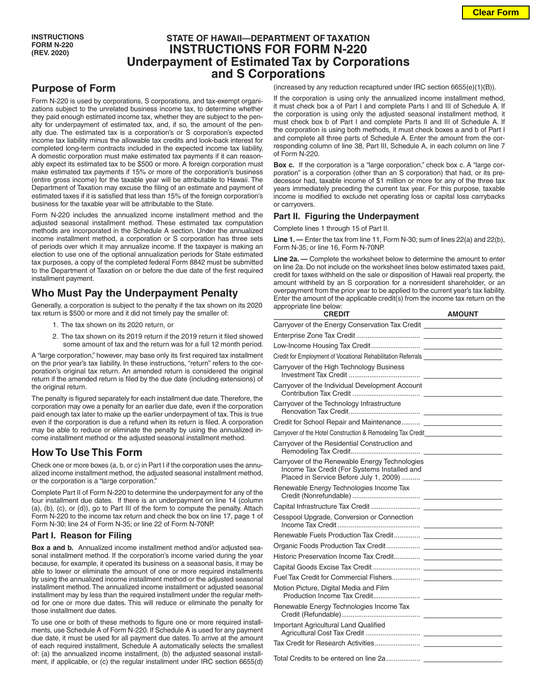# **STATE OF HAWAII—DEPARTMENT OF TAXATION INSTRUCTIONS FOR FORM N-220 Underpayment of Estimated Tax by Corporations and S Corporations**

## **Purpose of Form**

Form N-220 is used by corporations, S corporations, and tax-exempt organizations subject to the unrelated business income tax, to determine whether they paid enough estimated income tax, whether they are subject to the penalty for underpayment of estimated tax, and, if so, the amount of the penalty due. The estimated tax is a corporation's or S corporation's expected income tax liability minus the allowable tax credits and look-back interest for completed long-term contracts included in the expected income tax liability. A domestic corporation must make estimated tax payments if it can reasonably expect its estimated tax to be \$500 or more. A foreign corporation must make estimated tax payments if 15% or more of the corporation's business (entire gross income) for the taxable year will be attributable to Hawaii. The Department of Taxation may excuse the filing of an estimate and payment of estimated taxes if it is satisfied that less than 15% of the foreign corporation's business for the taxable year will be attributable to the State.

Form N-220 includes the annualized income installment method and the adjusted seasonal installment method. These estimated tax computation methods are incorporated in the Schedule A section. Under the annualized income installment method, a corporation or S corporation has three sets of periods over which it may annualize income. If the taxpayer is making an election to use one of the optional annualization periods for State estimated tax purposes, a copy of the completed federal Form 8842 must be submitted to the Department of Taxation on or before the due date of the first required installment payment.

### **Who Must Pay the Underpayment Penalty**

Generally, a corporation is subject to the penalty if the tax shown on its 2020 tax return is \$500 or more and it did not timely pay the smaller of:

- 1. The tax shown on its 2020 return, or
- 2. The tax shown on its 2019 return if the 2019 return it filed showed some amount of tax and the return was for a full 12 month period.

A "large corporation," however, may base only its first required tax installment on the prior year's tax liability. In these instructions, "return" refers to the corporation's original tax return. An amended return is considered the original return if the amended return is filed by the due date (including extensions) of the original return.

The penalty is figured separately for each installment due date. Therefore, the corporation may owe a penalty for an earlier due date, even if the corporation paid enough tax later to make up the earlier underpayment of tax. This is true even if the corporation is due a refund when its return is filed. A corporation may be able to reduce or eliminate the penalty by using the annualized income installment method or the adjusted seasonal installment method.

# **How To Use This Form**

Check one or more boxes (a, b, or c) in Part I if the corporation uses the annualized income installment method, the adjusted seasonal installment method, or the corporation is a "large corporation."

Complete Part II of Form N-220 to determine the underpayment for any of the four installment due dates. If there is an underpayment on line 14 (column (a), (b), (c), or (d)), go to Part III of the form to compute the penalty. Attach Form N-220 to the income tax return and check the box on line 17, page 1 of Form N-30; line 24 of Form N-35; or line 22 of Form N-70NP.

### **Part I. Reason for Filing**

**Box a and b.** Annualized income installment method and/or adjusted seasonal installment method. If the corporation's income varied during the year because, for example, it operated its business on a seasonal basis, it may be able to lower or eliminate the amount of one or more required installments by using the annualized income installment method or the adjusted seasonal installment method. The annualized income installment or adjusted seasonal installment may by less than the required installment under the regular method for one or more due dates. This will reduce or eliminate the penalty for those installment due dates.

To use one or both of these methods to figure one or more required installments, use Schedule A of Form N-220. If Schedule A is used for any payment due date, it must be used for all payment due dates. To arrive at the amount of each required installment, Schedule A automatically selects the smallest of: (a) the annualized income installment, (b) the adjusted seasonal installment, if applicable, or (c) the regular installment under IRC section 6655(d)

(increased by any reduction recaptured under IRC section 6655(e)(1)(B)).

If the corporation is using only the annualized income installment method, it must check box a of Part I and complete Parts I and III of Schedule A. If the corporation is using only the adjusted seasonal installment method, it must check box b of Part I and complete Parts II and III of Schedule A. If the corporation is using both methods, it must check boxes a and b of Part I and complete all three parts of Schedule A. Enter the amount from the corresponding column of line 38, Part III, Schedule A, in each column on line 7 of Form N-220.

**Box c.** If the corporation is a "large corporation," check box c. A "large corporation" is a corporation (other than an S corporation) that had, or its predecessor had, taxable income of \$1 million or more for any of the three tax years immediately preceding the current tax year. For this purpose, taxable income is modified to exclude net operating loss or capital loss carrybacks or carryovers.

### **Part II. Figuring the Underpayment**

Complete lines 1 through 15 of Part II.

**Line 1. —** Enter the tax from line 11, Form N-30; sum of lines 22(a) and 22(b), Form N-35; or line 16, Form N-70NP.

**Line 2a. —** Complete the worksheet below to determine the amount to enter on line 2a. Do not include on the worksheet lines below estimated taxes paid, credit for taxes withheld on the sale or disposition of Hawaii real property, the amount withheld by an S corporation for a nonresident shareholder, or an overpayment from the prior year to be applied to the current year's tax liability. Enter the amount of the applicable credit(s) from the income tax return on the appropriate line below:

| <b>CREDIT</b>                                                                                  | <b>AMOUNT</b> |
|------------------------------------------------------------------------------------------------|---------------|
| Carryover of the Energy Conservation Tax Credit ________________________________               |               |
|                                                                                                |               |
|                                                                                                |               |
| Credit for Employment of Vocational Rehabilitation Referrals                                   |               |
| Carryover of the High Technology Business                                                      |               |
| Carryover of the Individual Development Account                                                |               |
| Carryover of the Technology Infrastructure                                                     |               |
|                                                                                                |               |
| Carryover of the Hotel Construction & Remodeling Tax Credit_____________________               |               |
| Carryover of the Residential Construction and                                                  |               |
| Carryover of the Renewable Energy Technologies<br>Income Tax Credit (For Systems Installed and |               |
| Renewable Energy Technologies Income Tax                                                       |               |
|                                                                                                |               |
| Cesspool Upgrade, Conversion or Connection                                                     |               |
|                                                                                                |               |
|                                                                                                |               |
|                                                                                                |               |
|                                                                                                |               |
|                                                                                                |               |
| Motion Picture, Digital Media and Film                                                         |               |
| Renewable Energy Technologies Income Tax                                                       |               |
| Important Agricultural Land Qualified                                                          |               |
|                                                                                                |               |
|                                                                                                |               |